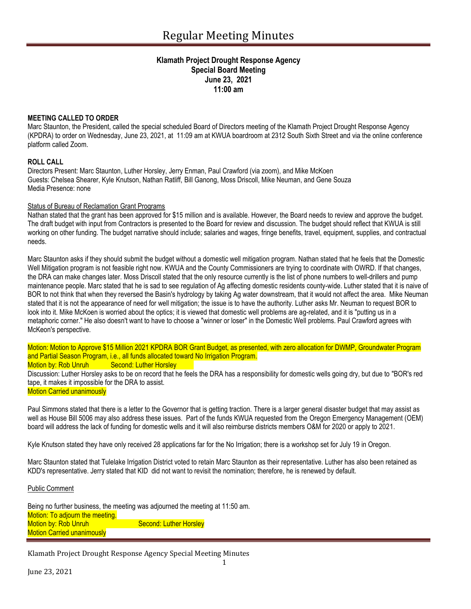## **Klamath Project Drought Response Agency Special Board Meeting June 23, 2021 11:00 am**

## **MEETING CALLED TO ORDER**

Marc Staunton, the President, called the special scheduled Board of Directors meeting of the Klamath Project Drought Response Agency (KPDRA) to order on Wednesday, June 23, 2021, at 11:09 am at KWUA boardroom at 2312 South Sixth Street and via the online conference platform called Zoom.

### **ROLL CALL**

Directors Present: Marc Staunton, Luther Horsley, Jerry Enman, Paul Crawford (via zoom), and Mike McKoen Guests: Chelsea Shearer, Kyle Knutson, Nathan Ratliff, Bill Ganong, Moss Driscoll, Mike Neuman, and Gene Souza Media Presence: none

## Status of Bureau of Reclamation Grant Programs

Nathan stated that the grant has been approved for \$15 million and is available. However, the Board needs to review and approve the budget. The draft budget with input from Contractors is presented to the Board for review and discussion. The budget should reflect that KWUA is still working on other funding. The budget narrative should include; salaries and wages, fringe benefits, travel, equipment, supplies, and contractual needs.

Marc Staunton asks if they should submit the budget without a domestic well mitigation program. Nathan stated that he feels that the Domestic Well Mitigation program is not feasible right now. KWUA and the County Commissioners are trying to coordinate with OWRD. If that changes, the DRA can make changes later. Moss Driscoll stated that the only resource currently is the list of phone numbers to well-drillers and pump maintenance people. Marc stated that he is sad to see regulation of Ag affecting domestic residents county-wide. Luther stated that it is naive of BOR to not think that when they reversed the Basin's hydrology by taking Ag water downstream, that it would not affect the area. Mike Neuman stated that it is not the appearance of need for well mitigation; the issue is to have the authority. Luther asks Mr. Neuman to request BOR to look into it. Mike McKoen is worried about the optics; it is viewed that domestic well problems are ag-related, and it is "putting us in a metaphoric corner." He also doesn't want to have to choose a "winner or loser" in the Domestic Well problems. Paul Crawford agrees with McKeon's perspective.

Motion: Motion to Approve \$15 Million 2021 KPDRA BOR Grant Budget, as presented, with zero allocation for DWMP, Groundwater Program and Partial Season Program, i.e., all funds allocated toward No Irrigation Program.

# Motion by: Rob Unruh Second: Luther Horsley

Discussion: Luther Horsley asks to be on record that he feels the DRA has a responsibility for domestic wells going dry, but due to "BOR's red tape, it makes it impossible for the DRA to assist.

#### **Motion Carried unanimously**

Paul Simmons stated that there is a letter to the Governor that is getting traction. There is a larger general disaster budget that may assist as well as House Bill 5006 may also address these issues. Part of the funds KWUA requested from the Oregon Emergency Management (OEM) board will address the lack of funding for domestic wells and it will also reimburse districts members O&M for 2020 or apply to 2021.

Kyle Knutson stated they have only received 28 applications far for the No Irrigation; there is a workshop set for July 19 in Oregon.

Marc Staunton stated that Tulelake Irrigation District voted to retain Marc Staunton as their representative. Luther has also been retained as KDD's representative. Jerry stated that KID did not want to revisit the nomination; therefore, he is renewed by default.

#### Public Comment

Being no further business, the meeting was adjourned the meeting at 11:50 am. Motion: To adjourn the meeting. Motion by: Rob Unruh Second: Luther Horsley **Motion Carried unanimously** 

Klamath Project Drought Response Agency Special Meeting Minutes